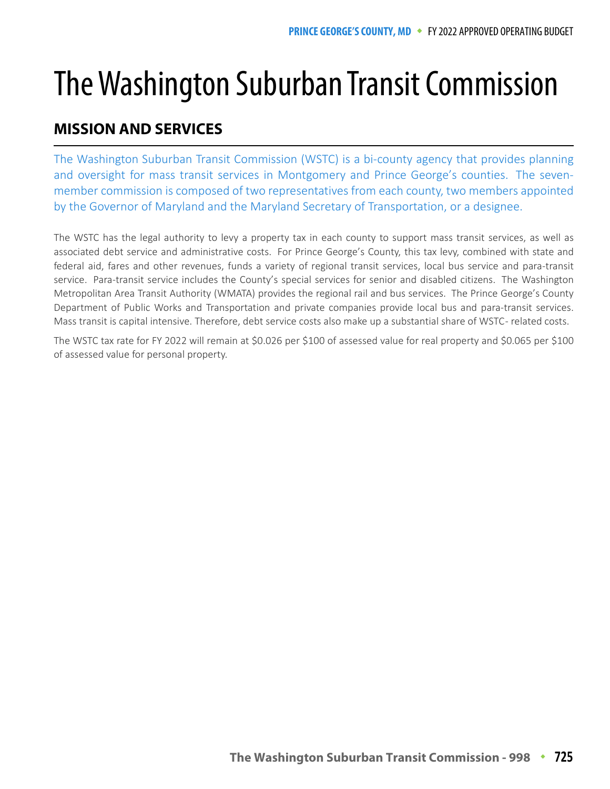## The Washington Suburban Transit Commission<br>MISSION AND SERVICES

## **MISSION AND SERVICES**

The Washington Suburban Transit Commission (WSTC) is a bi-county agency that provides planning and oversight for mass transit services in Montgomery and Prince George's counties. The sevenmember commission is composed of two representatives from each county, two members appointed by the Governor of Maryland and the Maryland Secretary of Transportation, or a designee.

The WSTC has the legal authority to levy a property tax in each county to support mass transit services, as well as associated debt service and administrative costs. For Prince George's County, this tax levy, combined with state and federal aid, fares and other revenues, funds a variety of regional transit services, local bus service and para-transit service. Para-transit service includes the County's special services for senior and disabled citizens. The Washington Metropolitan Area Transit Authority (WMATA) provides the regional rail and bus services. The Prince George's County Department of Public Works and Transportation and private companies provide local bus and para-transit services. Mass transit is capital intensive. Therefore, debt service costs also make up a substantial share of WSTC - related costs.

The WSTC tax rate for FY 2022 will remain at \$0.026 per \$100 of assessed value for real property and \$0.065 per \$100 of assessed value for personal property.